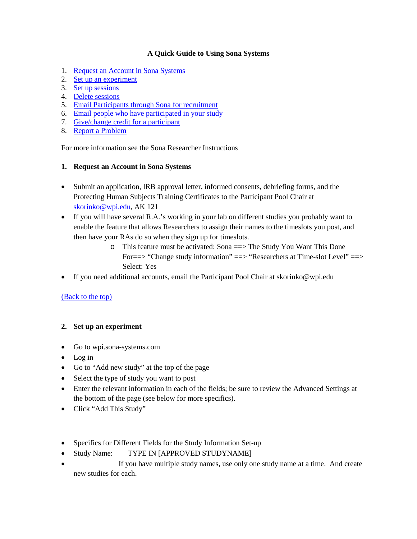### **A Quick Guide to Using Sona Systems**

- <span id="page-0-2"></span>1. [Request an Account in Sona Systems](#page-0-0)
- 2. [Set up an experiment](#page-0-1)
- 3. [Set up sessions](#page-1-0)
- 4. [Delete sessions](#page-2-0)
- 5. [Email Participants through Sona for recruitment](#page-2-1)
- 6. [Email people who have participated in your study](#page-3-0)
- 7. [Give/change credit for a participant](#page-3-1)
- 8. [Report a Problem](#page-3-2)

For more information see the Sona Researcher Instructions

## <span id="page-0-0"></span>**1. Request an Account in Sona Systems**

- Submit an application, IRB approval letter, informed consents, debriefing forms, and the Protecting Human Subjects Training Certificates to the Participant Pool Chair at [skorinko@wpi.edu,](mailto:skorinko@wpi.edu) AK 121
- If you will have several R.A.'s working in your lab on different studies you probably want to enable the feature that allows Researchers to assign their names to the timeslots you post, and then have your RAs do so when they sign up for timeslots.
	- o This feature must be activated: Sona ==> The Study You Want This Done For==> "Change study information" ==> "Researchers at Time-slot Level" ==> Select: Yes
- If you need additional accounts, email the Participant Pool Chair at skorinko@wpi.edu

## [\(Back to the top\)](#page-0-2)

## <span id="page-0-1"></span>**2. Set up an experiment**

- Go to wpi.sona-systems.com
- Log in
- Go to "Add new study" at the top of the page
- Select the type of study you want to post
- Enter the relevant information in each of the fields; be sure to review the Advanced Settings at the bottom of the page (see below for more specifics).
- Click "Add This Study"
- Specifics for Different Fields for the Study Information Set-up
- Study Name: TYPE IN [APPROVED STUDYNAME]
- If you have multiple study names, use only one study name at a time. And create new studies for each.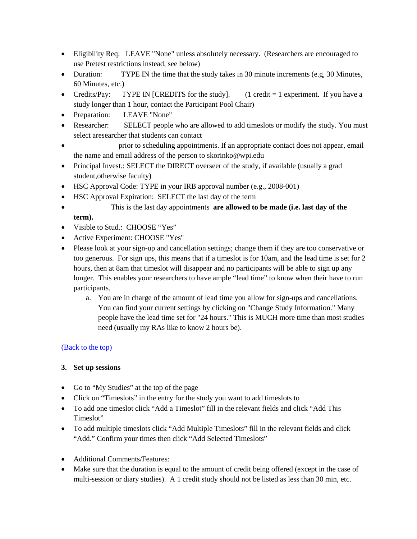- Eligibility Req: LEAVE "None" unless absolutely necessary. (Researchers are encouraged to use Pretest restrictions instead, see below)
- Duration: TYPE IN the time that the study takes in 30 minute increments (e.g, 30 Minutes, 60 Minutes, etc.)
- Credits/Pay: TYPE IN [CREDITS for the study]. (1 credit = 1 experiment. If you have a study longer than 1 hour, contact the Participant Pool Chair)
- Preparation: LEAVE "None"
- Researcher: SELECT people who are allowed to add timeslots or modify the study. You must select aresearcher that students can contact
- prior to scheduling appointments. If an appropriate contact does not appear, email the name and email address of the person to skorinko@wpi.edu
- Principal Invest.: SELECT the DIRECT overseer of the study, if available (usually a grad student,otherwise faculty)
- HSC Approval Code: TYPE in your IRB approval number (e.g., 2008-001)
- HSC Approval Expiration: SELECT the last day of the term
- This is the last day appointments **are allowed to be made (i.e. last day of the term).**
- Visible to Stud.: CHOOSE "Yes"
- Active Experiment: CHOOSE "Yes"
- Please look at your sign-up and cancellation settings; change them if they are too conservative or too generous. For sign ups, this means that if a timeslot is for 10am, and the lead time is set for 2 hours, then at 8am that timeslot will disappear and no participants will be able to sign up any longer. This enables your researchers to have ample "lead time" to know when their have to run participants.
	- a. You are in charge of the amount of lead time you allow for sign-ups and cancellations. You can find your current settings by clicking on "Change Study Information." Many people have the lead time set for "24 hours." This is MUCH more time than most studies need (usually my RAs like to know 2 hours be).

## [\(Back to the top\)](#page-0-2)

## <span id="page-1-0"></span>**3. Set up sessions**

- Go to "My Studies" at the top of the page
- Click on "Timeslots" in the entry for the study you want to add timeslots to
- To add one timeslot click "Add a Timeslot" fill in the relevant fields and click "Add This Timeslot"
- To add multiple timeslots click "Add Multiple Timeslots" fill in the relevant fields and click "Add." Confirm your times then click "Add Selected Timeslots"
- Additional Comments/Features:
- Make sure that the duration is equal to the amount of credit being offered (except in the case of multi-session or diary studies). A 1 credit study should not be listed as less than 30 min, etc.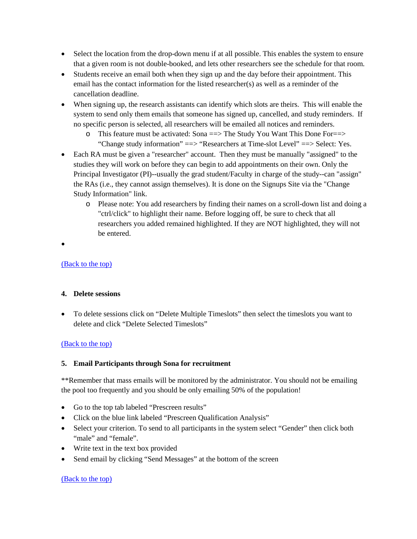- Select the location from the drop-down menu if at all possible. This enables the system to ensure that a given room is not double-booked, and lets other researchers see the schedule for that room.
- Students receive an email both when they sign up and the day before their appointment. This email has the contact information for the listed researcher(s) as well as a reminder of the cancellation deadline.
- When signing up, the research assistants can identify which slots are theirs. This will enable the system to send only them emails that someone has signed up, cancelled, and study reminders. If no specific person is selected, all researchers will be emailed all notices and reminders.
	- $\circ$  This feature must be activated: Sona =  $\geq$  The Study You Want This Done For= $\Rightarrow$ "Change study information" ==> "Researchers at Time-slot Level" ==> Select: Yes.
- Each RA must be given a "researcher" account. Then they must be manually "assigned" to the studies they will work on before they can begin to add appointments on their own. Only the Principal Investigator (PI)--usually the grad student/Faculty in charge of the study--can "assign" the RAs (i.e., they cannot assign themselves). It is done on the Signups Site via the "Change Study Information" link.
	- o Please note: You add researchers by finding their names on a scroll-down list and doing a "ctrl/click" to highlight their name. Before logging off, be sure to check that all researchers you added remained highlighted. If they are NOT highlighted, they will not be entered.

```
•
```
# [\(Back to the top\)](#page-0-2)

## <span id="page-2-0"></span>**4. Delete sessions**

• To delete sessions click on "Delete Multiple Timeslots" then select the timeslots you want to delete and click "Delete Selected Timeslots"

## [\(Back to the top\)](#page-0-2)

## <span id="page-2-1"></span>**5. Email Participants through Sona for recruitment**

\*\*Remember that mass emails will be monitored by the administrator. You should not be emailing the pool too frequently and you should be only emailing 50% of the population!

- Go to the top tab labeled "Prescreen results"
- Click on the blue link labeled "Prescreen Qualification Analysis"
- Select your criterion. To send to all participants in the system select "Gender" then click both "male" and "female".
- Write text in the text box provided
- Send email by clicking "Send Messages" at the bottom of the screen

## [\(Back to the top\)](#page-0-2)